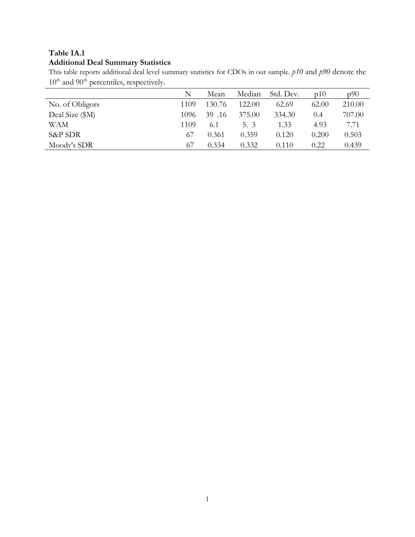# **Additional Deal Summary Statistics**

This table reports additional deal level summary statistics for CDOs in our sample. *p10* and *p90* denote the 10<sup>th</sup> and 90<sup>th</sup> percentiles, respectively.

|                 | N    | Mean   | Median | Std. Dev. | p10   | p90    |
|-----------------|------|--------|--------|-----------|-------|--------|
| No. of Obligors | 1109 | 130.76 | 122.00 | 62.69     | 62.00 | 210.00 |
| Deal Size (\$M) | 1096 | 39.16  | 375.00 | 334.30    | 0.4   | 707.00 |
| WAM             | 1109 | 6.1    | 5. 3   | 1.33      | 4.93  | 7.71   |
| S&P SDR         | 67   | 0.361  | 0.359  | 0.120     | 0.200 | 0.503  |
| Moody's SDR     | 67   | 0.334  | 0.332  | 0.110     | 0.22  | 0.439  |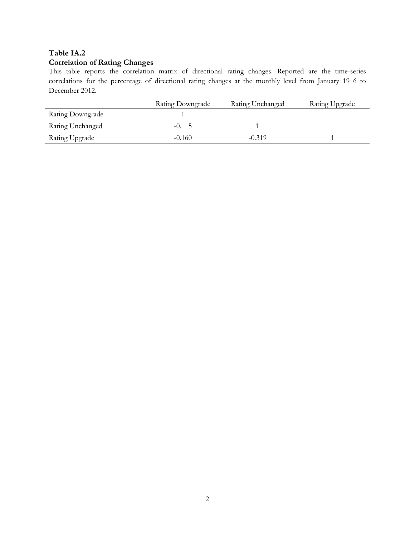# **Table IA.2 Correlation of Rating Changes**

This table reports the correlation matrix of directional rating changes. Reported are the time-series correlations for the percentage of directional rating changes at the monthly level from January 19 6 to December 2012.

|                  | Rating Downgrade | Rating Unchanged | Rating Upgrade |
|------------------|------------------|------------------|----------------|
| Rating Downgrade |                  |                  |                |
| Rating Unchanged | $-0.5$           |                  |                |
| Rating Upgrade   | $-0.160$         | $-0.319$         |                |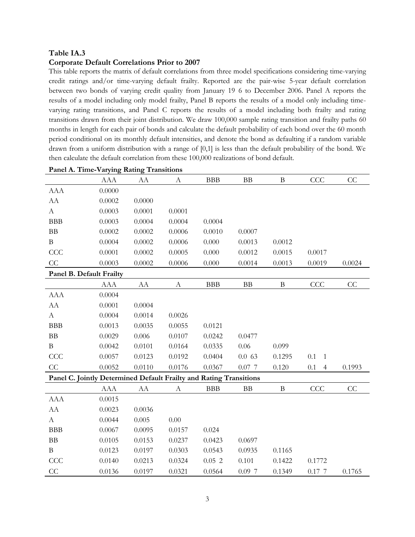#### **Corporate Default Correlations Prior to 2007**

This table reports the matrix of default correlations from three model specifications considering time-varying credit ratings and/or time-varying default frailty. Reported are the pair-wise 5-year default correlation between two bonds of varying credit quality from January 19 6 to December 2006. Panel A reports the results of a model including only model frailty, Panel B reports the results of a model only including timevarying rating transitions, and Panel C reports the results of a model including both frailty and rating transitions drawn from their joint distribution. We draw 100,000 sample rating transition and frailty paths 60 months in length for each pair of bonds and calculate the default probability of each bond over the 60 month period conditional on its monthly default intensities, and denote the bond as defaulting if a random variable drawn from a uniform distribution with a range of [0,1] is less than the default probability of the bond. We then calculate the default correlation from these 100,000 realizations of bond default.

|                                                                    | AAA        | AA     | A                | <b>BBB</b> | BB        | $\, {\bf B}$ | CCC                       | CC     |  |  |
|--------------------------------------------------------------------|------------|--------|------------------|------------|-----------|--------------|---------------------------|--------|--|--|
| <b>AAA</b>                                                         | 0.0000     |        |                  |            |           |              |                           |        |  |  |
| AA                                                                 | 0.0002     | 0.0000 |                  |            |           |              |                           |        |  |  |
| $\mathbf{A}$                                                       | 0.0003     | 0.0001 | 0.0001           |            |           |              |                           |        |  |  |
| <b>BBB</b>                                                         | 0.0003     | 0.0004 | 0.0004           | 0.0004     |           |              |                           |        |  |  |
| BB                                                                 | 0.0002     | 0.0002 | 0.0006           | 0.0010     | 0.0007    |              |                           |        |  |  |
| $\bf{B}$                                                           | 0.0004     | 0.0002 | 0.0006           | 0.000      | 0.0013    | 0.0012       |                           |        |  |  |
| CCC                                                                | 0.0001     | 0.0002 | 0.0005           | 0.000      | 0.0012    | 0.0015       | 0.0017                    |        |  |  |
| CC                                                                 | 0.0003     | 0.0002 | 0.0006           | 0.000      | 0.0014    | 0.0013       | 0.0019                    | 0.0024 |  |  |
| Panel B. Default Frailty                                           |            |        |                  |            |           |              |                           |        |  |  |
|                                                                    | <b>AAA</b> | AA     | $\boldsymbol{A}$ | <b>BBB</b> | <b>BB</b> | $\, {\bf B}$ | CCC                       | CC     |  |  |
| <b>AAA</b>                                                         | 0.0004     |        |                  |            |           |              |                           |        |  |  |
| AA                                                                 | 0.0001     | 0.0004 |                  |            |           |              |                           |        |  |  |
| $\boldsymbol{A}$                                                   | 0.0004     | 0.0014 | 0.0026           |            |           |              |                           |        |  |  |
| <b>BBB</b>                                                         | 0.0013     | 0.0035 | 0.0055           | 0.0121     |           |              |                           |        |  |  |
| ${\rm BB}$                                                         | 0.0029     | 0.006  | 0.0107           | 0.0242     | 0.0477    |              |                           |        |  |  |
| $\, {\bf B}$                                                       | 0.0042     | 0.0101 | 0.0164           | 0.0335     | 0.06      | 0.099        |                           |        |  |  |
| CCC                                                                | 0.0057     | 0.0123 | 0.0192           | 0.0404     | 0.063     | 0.1295       | 0.1<br>$\mathbf{1}$       |        |  |  |
| CC                                                                 | 0.0052     | 0.0110 | 0.0176           | 0.0367     | $0.07$ 7  | 0.120        | $0.1\,$<br>$\overline{4}$ | 0.1993 |  |  |
| Panel C. Jointly Determined Default Frailty and Rating Transitions |            |        |                  |            |           |              |                           |        |  |  |
|                                                                    | <b>AAA</b> | AA     | $\boldsymbol{A}$ | <b>BBB</b> | <b>BB</b> | $\, {\bf B}$ | CCC                       | CC     |  |  |
| <b>AAA</b>                                                         | 0.0015     |        |                  |            |           |              |                           |        |  |  |
| AA                                                                 | 0.0023     | 0.0036 |                  |            |           |              |                           |        |  |  |
| $\mathbf{A}$                                                       | 0.0044     | 0.005  | 0.00             |            |           |              |                           |        |  |  |
| <b>BBB</b>                                                         | 0.0067     | 0.0095 | 0.0157           | 0.024      |           |              |                           |        |  |  |
| ${\rm BB}$                                                         | 0.0105     | 0.0153 | 0.0237           | 0.0423     | 0.0697    |              |                           |        |  |  |
| $\bf{B}$                                                           | 0.0123     | 0.0197 | 0.0303           | 0.0543     | 0.0935    | 0.1165       |                           |        |  |  |
| CCC                                                                | 0.0140     | 0.0213 | 0.0324           | 0.052      | 0.101     | 0.1422       | 0.1772                    |        |  |  |
| CC                                                                 | 0.0136     | 0.0197 | 0.0321           | 0.0564     | $0.09$ 7  | 0.1349       | 0.17 7                    | 0.1765 |  |  |

**Panel A. Time-Varying Rating Transitions**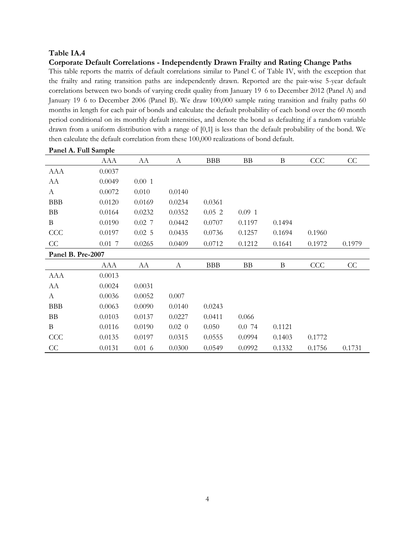**Corporate Default Correlations - Independently Drawn Frailty and Rating Change Paths**

This table reports the matrix of default correlations similar to Panel C of Table IV, with the exception that the frailty and rating transition paths are independently drawn. Reported are the pair-wise 5-year default correlations between two bonds of varying credit quality from January 19 6 to December 2012 (Panel A) and January 19 6 to December 2006 (Panel B). We draw 100,000 sample rating transition and frailty paths 60 months in length for each pair of bonds and calculate the default probability of each bond over the 60 month period conditional on its monthly default intensities, and denote the bond as defaulting if a random variable drawn from a uniform distribution with a range of [0,1] is less than the default probability of the bond. We then calculate the default correlation from these 100,000 realizations of bond default.

|                   | AAA    | AA        | A           | <b>BBB</b> | BB       | B            | CCC    | CC     |
|-------------------|--------|-----------|-------------|------------|----------|--------------|--------|--------|
| <b>AAA</b>        | 0.0037 |           |             |            |          |              |        |        |
| AA                | 0.0049 | 0.001     |             |            |          |              |        |        |
| A                 | 0.0072 | 0.010     | 0.0140      |            |          |              |        |        |
| <b>BBB</b>        | 0.0120 | 0.0169    | 0.0234      | 0.0361     |          |              |        |        |
| BB                | 0.0164 | 0.0232    | 0.0352      | 0.052      | $0.09$ 1 |              |        |        |
| B                 | 0.0190 | $0.02$ 7  | 0.0442      | 0.0707     | 0.1197   | 0.1494       |        |        |
| CCC               | 0.0197 | 0.025     | 0.0435      | 0.0736     | 0.1257   | 0.1694       | 0.1960 |        |
| CC                | 0.017  | 0.0265    | 0.0409      | 0.0712     | 0.1212   | 0.1641       | 0.1972 | 0.1979 |
| Panel B. Pre-2007 |        |           |             |            |          |              |        |        |
|                   | AAA    | AA        | A           | <b>BBB</b> | BB       | $\, {\bf B}$ | CCC    | CC     |
| <b>AAA</b>        | 0.0013 |           |             |            |          |              |        |        |
| AA                | 0.0024 | 0.0031    |             |            |          |              |        |        |
| A                 | 0.0036 | 0.0052    | 0.007       |            |          |              |        |        |
| <b>BBB</b>        | 0.0063 | 0.0090    | 0.0140      | 0.0243     |          |              |        |        |
| <b>BB</b>         | 0.0103 | 0.0137    | 0.0227      | 0.0411     | 0.066    |              |        |        |
| B                 | 0.0116 | 0.0190    | $0.02 \; 0$ | 0.050      | 0.074    | 0.1121       |        |        |
| CCC               | 0.0135 | 0.0197    | 0.0315      | 0.0555     | 0.0994   | 0.1403       | 0.1772 |        |
| CC                | 0.0131 | $0.01\,6$ | 0.0300      | 0.0549     | 0.0992   | 0.1332       | 0.1756 | 0.1731 |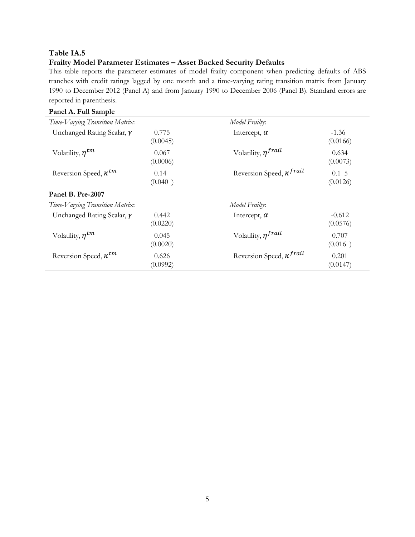# **Frailty Model Parameter Estimates – Asset Backed Security Defaults**

This table reports the parameter estimates of model frailty component when predicting defaults of ABS tranches with credit ratings lagged by one month and a time-varying rating transition matrix from January 1990 to December 2012 (Panel A) and from January 1990 to December 2006 (Panel B). Standard errors are reported in parenthesis.

| Panel A. Full Sample              |                   |                                   |                        |
|-----------------------------------|-------------------|-----------------------------------|------------------------|
| Time-Varying Transition Matrix:   |                   | Model Frailty:                    |                        |
| Unchanged Rating Scalar, $\gamma$ | 0.775<br>(0.0045) | Intercept, $\alpha$               | $-1.36$<br>(0.0166)    |
| Volatility, $\eta^{tm}$           | 0.067<br>(0.0006) | Volatility, $\eta^{frail}$        | 0.634<br>(0.0073)      |
| Reversion Speed, $\kappa^{tm}$    | 0.14<br>(0.040)   | Reversion Speed, $\kappa^{frail}$ | $0.1\;\;5$<br>(0.0126) |
| Panel B. Pre-2007                 |                   |                                   |                        |
| Time-Varying Transition Matrix:   |                   | Model Frailty:                    |                        |
| Unchanged Rating Scalar, $\gamma$ | 0.442<br>(0.0220) | Intercept, $\alpha$               | $-0.612$<br>(0.0576)   |
| Volatility, $\eta^{tm}$           | 0.045<br>(0.0020) | Volatility, $\eta^{fail}$         | 0.707<br>(0.016)       |
| Reversion Speed, $\kappa^{tm}$    | 0.626<br>(0.0992) | Reversion Speed, $\kappa^{frail}$ | 0.201<br>(0.0147)      |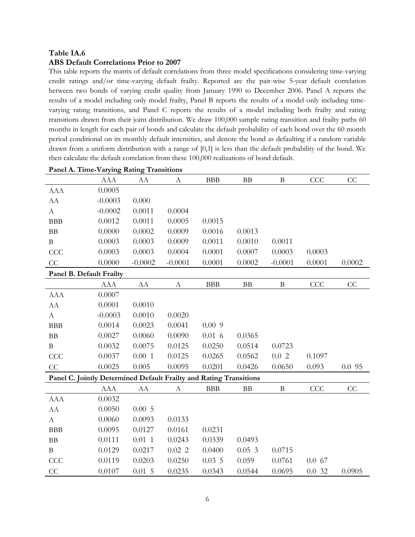### **ABS Default Correlations Prior to 2007**

This table reports the matrix of default correlations from three model specifications considering time-varying credit ratings and/or time-varying default frailty. Reported are the pair-wise 5-year default correlation between two bonds of varying credit quality from January 1990 to December 2006. Panel A reports the results of a model including only model frailty, Panel B reports the results of a model only including timevarying rating transitions, and Panel C reports the results of a model including both frailty and rating transitions drawn from their joint distribution. We draw 100,000 sample rating transition and frailty paths 60 months in length for each pair of bonds and calculate the default probability of each bond over the 60 month period conditional on its monthly default intensities, and denote the bond as defaulting if a random variable drawn from a uniform distribution with a range of [0,1] is less than the default probability of the bond. We then calculate the default correlation from these 100,000 realizations of bond default.

|                                                                    | <b>AAA</b> | AA         | A                     | <b>BBB</b> | <b>BB</b> | $\mathbf B$  | CCC    | CC     |
|--------------------------------------------------------------------|------------|------------|-----------------------|------------|-----------|--------------|--------|--------|
| <b>AAA</b>                                                         | 0.0005     |            |                       |            |           |              |        |        |
| ${\rm AA}$                                                         | $-0.0003$  | 0.000      |                       |            |           |              |        |        |
| $\mathbf{A}$                                                       | $-0.0002$  | 0.0011     | 0.0004                |            |           |              |        |        |
| <b>BBB</b>                                                         | 0.0012     | 0.0011     | 0.0005                | 0.0015     |           |              |        |        |
| BB                                                                 | 0.0000     | 0.0002     | 0.0009                | 0.0016     | 0.0013    |              |        |        |
| $\bf{B}$                                                           | 0.0003     | 0.0003     | 0.0009                | 0.0011     | 0.0010    | 0.0011       |        |        |
| CCC                                                                | 0.0003     | 0.0003     | 0.0004                | 0.0001     | 0.0007    | 0.0003       | 0.0003 |        |
| CC                                                                 | 0.0000     | $-0.0002$  | $-0.0001$             | 0.0001     | 0.0002    | $-0.0001$    | 0.0001 | 0.0002 |
| Panel B. Default Frailty                                           |            |            |                       |            |           |              |        |        |
|                                                                    | <b>AAA</b> | ${\rm AA}$ | $\boldsymbol{\rm{A}}$ | BBB        | $\rm BB$  | $\, {\bf B}$ | CCC    | CC     |
| <b>AAA</b>                                                         | 0.0007     |            |                       |            |           |              |        |        |
| AA                                                                 | 0.0001     | 0.0010     |                       |            |           |              |        |        |
| $\boldsymbol{A}$                                                   | $-0.0003$  | 0.0010     | 0.0020                |            |           |              |        |        |
| <b>BBB</b>                                                         | 0.0014     | 0.0023     | 0.0041                | 0.009      |           |              |        |        |
| BB                                                                 | 0.0027     | 0.0060     | 0.0090                | $0.01\,6$  | 0.0365    |              |        |        |
| $\, {\bf B}$                                                       | 0.0032     | 0.0075     | 0.0125                | 0.0250     | 0.0514    | 0.0723       |        |        |
| CCC                                                                | 0.0037     | 0.001      | 0.0125                | 0.0265     | 0.0562    | 0.02         | 0.1097 |        |
| $\rm CC$                                                           | 0.0025     | 0.005      | 0.0095                | 0.0201     | 0.0426    | 0.0650       | 0.093  | 0.095  |
| Panel C. Jointly Determined Default Frailty and Rating Transitions |            |            |                       |            |           |              |        |        |
|                                                                    | <b>AAA</b> | AA         | А                     | <b>BBB</b> | <b>BB</b> | $\, {\bf B}$ | CCC    | CC     |
| <b>AAA</b>                                                         | 0.0032     |            |                       |            |           |              |        |        |
| AA                                                                 | 0.0050     | 0.005      |                       |            |           |              |        |        |
| $\mathbf{A}$                                                       | 0.0060     | 0.0093     | 0.0133                |            |           |              |        |        |
| <b>BBB</b>                                                         | 0.0095     | 0.0127     | 0.0161                | 0.0231     |           |              |        |        |
| BB                                                                 | 0.0111     | $0.01$ 1   | 0.0243                | 0.0339     | 0.0493    |              |        |        |
| $\, {\bf B}$                                                       | 0.0129     | 0.0217     | $0.02$ 2              | 0.0400     | 0.053     | 0.0715       |        |        |
| CCC                                                                | 0.0119     | 0.0203     | 0.0250                | 0.035      | 0.059     | 0.0761       | 0.067  |        |
| CC                                                                 | 0.0107     | 0.015      | 0.0235                | 0.0343     | 0.0544    | 0.0695       | 0.032  | 0.0905 |

#### **Panel A. Time-Varying Rating Transitions**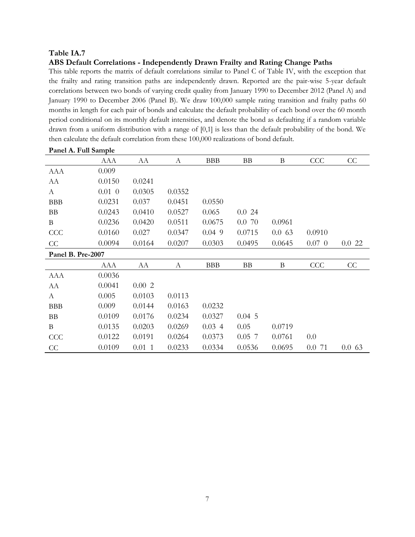### **ABS Default Correlations - Independently Drawn Frailty and Rating Change Paths**

This table reports the matrix of default correlations similar to Panel C of Table IV, with the exception that the frailty and rating transition paths are independently drawn. Reported are the pair-wise 5-year default correlations between two bonds of varying credit quality from January 1990 to December 2012 (Panel A) and January 1990 to December 2006 (Panel B). We draw 100,000 sample rating transition and frailty paths 60 months in length for each pair of bonds and calculate the default probability of each bond over the 60 month period conditional on its monthly default intensities, and denote the bond as defaulting if a random variable drawn from a uniform distribution with a range of [0,1] is less than the default probability of the bond. We then calculate the default correlation from these 100,000 realizations of bond default.

|                   | <b>AAA</b> | AA     | А      | <b>BBB</b> | BB       | B      | CCC         | CC    |
|-------------------|------------|--------|--------|------------|----------|--------|-------------|-------|
| <b>AAA</b>        | 0.009      |        |        |            |          |        |             |       |
| AA                | 0.0150     | 0.0241 |        |            |          |        |             |       |
| A                 | $0.01\ 0$  | 0.0305 | 0.0352 |            |          |        |             |       |
| <b>BBB</b>        | 0.0231     | 0.037  | 0.0451 | 0.0550     |          |        |             |       |
| BB                | 0.0243     | 0.0410 | 0.0527 | 0.065      | 0.024    |        |             |       |
| $\bf{B}$          | 0.0236     | 0.0420 | 0.0511 | 0.0675     | 0.0, 70  | 0.0961 |             |       |
| CCC               | 0.0160     | 0.027  | 0.0347 | $0.04$ 9   | 0.0715   | 0.063  | 0.0910      |       |
| CC                | 0.0094     | 0.0164 | 0.0207 | 0.0303     | 0.0495   | 0.0645 | $0.07 \, 0$ | 0.022 |
| Panel B. Pre-2007 |            |        |        |            |          |        |             |       |
|                   | AAA        | AA     | A      | <b>BBB</b> | BB       | B      | CCC         | CC    |
| <b>AAA</b>        | 0.0036     |        |        |            |          |        |             |       |
| AA                | 0.0041     | 0.002  |        |            |          |        |             |       |
| A                 | 0.005      | 0.0103 | 0.0113 |            |          |        |             |       |
| <b>BBB</b>        | 0.009      | 0.0144 | 0.0163 | 0.0232     |          |        |             |       |
| BB                | 0.0109     | 0.0176 | 0.0234 | 0.0327     | 0.045    |        |             |       |
| $\bf{B}$          | 0.0135     | 0.0203 | 0.0269 | 0.034      | 0.05     | 0.0719 |             |       |
| <b>CCC</b>        | 0.0122     | 0.0191 | 0.0264 | 0.0373     | $0.05$ 7 | 0.0761 | 0.0         |       |
| CC                | 0.0109     | 0.011  | 0.0233 | 0.0334     | 0.0536   | 0.0695 | 0.071       | 0.063 |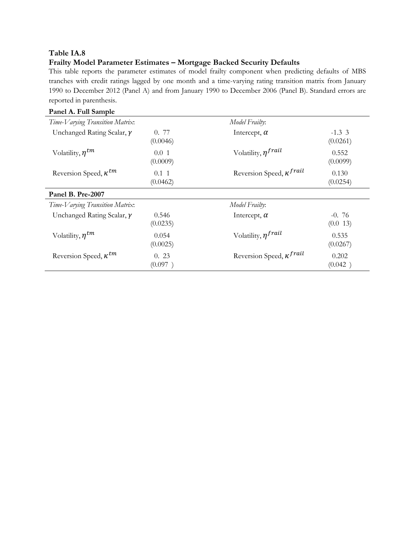# **Frailty Model Parameter Estimates – Mortgage Backed Security Defaults**

This table reports the parameter estimates of model frailty component when predicting defaults of MBS tranches with credit ratings lagged by one month and a time-varying rating transition matrix from January 1990 to December 2012 (Panel A) and from January 1990 to December 2006 (Panel B). Standard errors are reported in parenthesis.

| Panel A. Full Sample              |                        |                                   |                     |
|-----------------------------------|------------------------|-----------------------------------|---------------------|
| Time-Varying Transition Matrix:   |                        | Model Frailty:                    |                     |
| Unchanged Rating Scalar, $\gamma$ | 0. 77<br>(0.0046)      | Intercept, $\alpha$               | $-1.33$<br>(0.0261) |
| Volatility, $n^{tm}$              | 0.01<br>(0.0009)       | Volatility, $\eta^{fail}$         | 0.552<br>(0.0099)   |
| Reversion Speed, $\kappa^{tm}$    | $0.1 \; 1$<br>(0.0462) | Reversion Speed, $\kappa^{frail}$ | 0.130<br>(0.0254)   |
| Panel B. Pre-2007                 |                        |                                   |                     |
| Time-Varying Transition Matrix:   |                        | Model Frailty:                    |                     |
| Unchanged Rating Scalar, $\gamma$ | 0.546<br>(0.0235)      | Intercept, $\alpha$               | $-0.76$<br>(0.0 13) |
| Volatility, $\eta^{tm}$           | 0.054<br>(0.0025)      | Volatility, $\eta^{fail}$         | 0.535<br>(0.0267)   |
| Reversion Speed, $\kappa^{tm}$    | 0.23<br>(0.097)        | Reversion Speed, $\kappa^{frail}$ | 0.202<br>(0.042)    |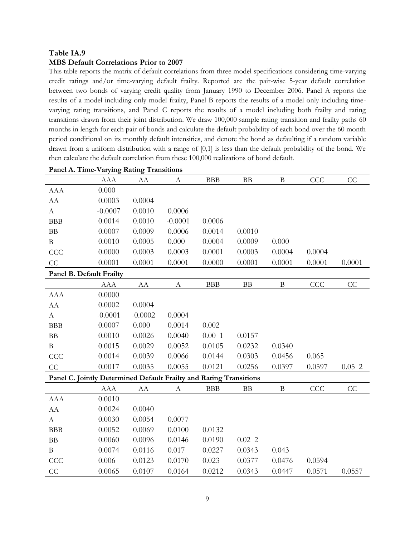### **MBS Default Correlations Prior to 2007**

This table reports the matrix of default correlations from three model specifications considering time-varying credit ratings and/or time-varying default frailty. Reported are the pair-wise 5-year default correlation between two bonds of varying credit quality from January 1990 to December 2006. Panel A reports the results of a model including only model frailty, Panel B reports the results of a model only including timevarying rating transitions, and Panel C reports the results of a model including both frailty and rating transitions drawn from their joint distribution. We draw 100,000 sample rating transition and frailty paths 60 months in length for each pair of bonds and calculate the default probability of each bond over the 60 month period conditional on its monthly default intensities, and denote the bond as defaulting if a random variable drawn from a uniform distribution with a range of [0,1] is less than the default probability of the bond. We then calculate the default correlation from these 100,000 realizations of bond default.

|                          | <b>AAA</b>                                                         | AA         | А                | <b>BBB</b> | <b>BB</b> | B            | CCC    | CC     |
|--------------------------|--------------------------------------------------------------------|------------|------------------|------------|-----------|--------------|--------|--------|
| <b>AAA</b>               | 0.000                                                              |            |                  |            |           |              |        |        |
| AA                       | 0.0003                                                             | 0.0004     |                  |            |           |              |        |        |
| $\mathbf{A}$             | $-0.0007$                                                          | 0.0010     | 0.0006           |            |           |              |        |        |
| <b>BBB</b>               | 0.0014                                                             | 0.0010     | $-0.0001$        | 0.0006     |           |              |        |        |
| BB                       | 0.0007                                                             | 0.0009     | 0.0006           | 0.0014     | 0.0010    |              |        |        |
| $\, {\bf B}$             | 0.0010                                                             | 0.0005     | 0.000            | 0.0004     | 0.0009    | 0.000        |        |        |
| CCC                      | 0.0000                                                             | 0.0003     | 0.0003           | 0.0001     | 0.0003    | 0.0004       | 0.0004 |        |
| CC                       | 0.0001                                                             | 0.0001     | 0.0001           | 0.0000     | 0.0001    | 0.0001       | 0.0001 | 0.0001 |
| Panel B. Default Frailty |                                                                    |            |                  |            |           |              |        |        |
|                          | <b>AAA</b>                                                         | ${\rm AA}$ | $\boldsymbol{A}$ | <b>BBB</b> | $\rm BB$  | $\, {\bf B}$ | CCC    | CC     |
| <b>AAA</b>               | 0.0000                                                             |            |                  |            |           |              |        |        |
| AA                       | 0.0002                                                             | 0.0004     |                  |            |           |              |        |        |
| $\boldsymbol{A}$         | $-0.0001$                                                          | $-0.0002$  | 0.0004           |            |           |              |        |        |
| <b>BBB</b>               | 0.0007                                                             | 0.000      | 0.0014           | 0.002      |           |              |        |        |
| BB                       | 0.0010                                                             | 0.0026     | 0.0040           | 0.001      | 0.0157    |              |        |        |
| $\, {\bf B}$             | 0.0015                                                             | 0.0029     | 0.0052           | 0.0105     | 0.0232    | 0.0340       |        |        |
| CCC                      | 0.0014                                                             | 0.0039     | 0.0066           | 0.0144     | 0.0303    | 0.0456       | 0.065  |        |
| CC                       | 0.0017                                                             | 0.0035     | 0.0055           | 0.0121     | 0.0256    | 0.0397       | 0.0597 | 0.052  |
|                          | Panel C. Jointly Determined Default Frailty and Rating Transitions |            |                  |            |           |              |        |        |
|                          | <b>AAA</b>                                                         | AA         | A                | <b>BBB</b> | BB        | $\bf{B}$     | CCC    | CC     |
| <b>AAA</b>               | 0.0010                                                             |            |                  |            |           |              |        |        |
| ${\rm AA}$               | 0.0024                                                             | 0.0040     |                  |            |           |              |        |        |
| $\mathbf{A}$             | 0.0030                                                             | 0.0054     | 0.0077           |            |           |              |        |        |
| <b>BBB</b>               | 0.0052                                                             | 0.0069     | 0.0100           | 0.0132     |           |              |        |        |
| $\rm BB$                 | 0.0060                                                             | 0.0096     | 0.0146           | 0.0190     | 0.022     |              |        |        |
| $\, {\bf B}$             | 0.0074                                                             | 0.0116     | 0.017            | 0.0227     | 0.0343    | 0.043        |        |        |
| CCC                      | 0.006                                                              | 0.0123     | 0.0170           | 0.023      | 0.0377    | 0.0476       | 0.0594 |        |
| CC                       | 0.0065                                                             | 0.0107     | 0.0164           | 0.0212     | 0.0343    | 0.0447       | 0.0571 | 0.0557 |

#### **Panel A. Time-Varying Rating Transitions**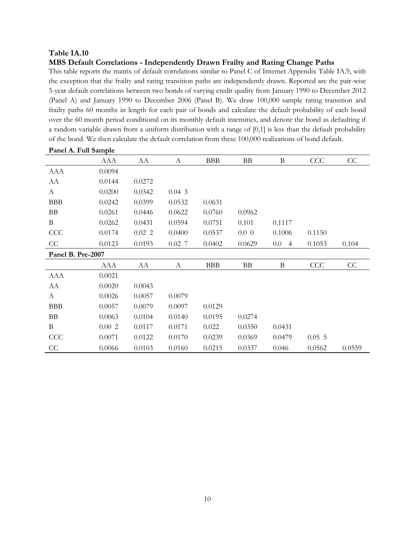### **MBS Default Correlations - Independently Drawn Frailty and Rating Change Paths**

This table reports the matrix of default correlations similar to Panel C of Internet Appendix Table IA.9, with the exception that the frailty and rating transition paths are independently drawn. Reported are the pair-wise 5-year default correlations between two bonds of varying credit quality from January 1990 to December 2012 (Panel A) and January 1990 to December 2006 (Panel B). We draw 100,000 sample rating transition and frailty paths 60 months in length for each pair of bonds and calculate the default probability of each bond over the 60 month period conditional on its monthly default intensities, and denote the bond as defaulting if a random variable drawn from a uniform distribution with a range of [0,1] is less than the default probability of the bond. We then calculate the default correlation from these 100,000 realizations of bond default.

|                   | <b>AAA</b> | AA     | A        | <b>BBB</b> | BB       | $\boldsymbol{B}$          | CCC    | CC     |
|-------------------|------------|--------|----------|------------|----------|---------------------------|--------|--------|
| <b>AAA</b>        | 0.0094     |        |          |            |          |                           |        |        |
| AA                | 0.0144     | 0.0272 |          |            |          |                           |        |        |
| A                 | 0.0200     | 0.0342 | 0.043    |            |          |                           |        |        |
| <b>BBB</b>        | 0.0242     | 0.0399 | 0.0532   | 0.0631     |          |                           |        |        |
| <b>BB</b>         | 0.0261     | 0.0446 | 0.0622   | 0.0760     | 0.0962   |                           |        |        |
| $\bf{B}$          | 0.0262     | 0.0431 | 0.0594   | 0.0751     | 0.101    | 0.1117                    |        |        |
| CCC               | 0.0174     | 0.022  | 0.0400   | 0.0537     | $0.0\,0$ | 0.1006                    | 0.1150 |        |
| CC                | 0.0123     | 0.0193 | $0.02$ 7 | 0.0402     | 0.0629   | $0.0\,$<br>$\overline{4}$ | 0.1053 | 0.104  |
| Panel B. Pre-2007 |            |        |          |            |          |                           |        |        |
|                   | AAA        | AA     | A        | <b>BBB</b> | BB       | B                         | CCC    | CC     |
| <b>AAA</b>        | 0.0021     |        |          |            |          |                           |        |        |
| AA                | 0.0020     | 0.0043 |          |            |          |                           |        |        |
| $\mathbf{A}$      | 0.0026     | 0.0057 | 0.0079   |            |          |                           |        |        |
| <b>BBB</b>        | 0.0057     | 0.0079 | 0.0097   | 0.0129     |          |                           |        |        |
| BB                | 0.0063     | 0.0104 | 0.0140   | 0.0195     | 0.0274   |                           |        |        |
| B                 | 0.002      | 0.0117 | 0.0171   | 0.022      | 0.0350   | 0.0431                    |        |        |
| <b>CCC</b>        | 0.0071     | 0.0122 | 0.0170   | 0.0239     | 0.0369   | 0.0479                    | 0.055  |        |
| CC                | 0.0066     | 0.0103 | 0.0160   | 0.0215     | 0.0337   | 0.046                     | 0.0562 | 0.0559 |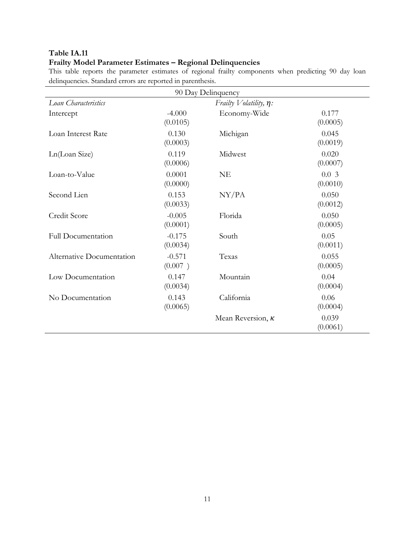# **Frailty Model Parameter Estimates – Regional Delinquencies**

This table reports the parameter estimates of regional frailty components when predicting 90 day loan delinquencies. Standard errors are reported in parenthesis.

| 90 Day Delinquency        |                      |                              |                   |  |  |  |  |  |  |
|---------------------------|----------------------|------------------------------|-------------------|--|--|--|--|--|--|
| Loan Characteristics      |                      | Frailty $Volatility, \eta$ : |                   |  |  |  |  |  |  |
| Intercept                 | $-4.000$<br>(0.0105) | Economy-Wide                 | 0.177<br>(0.0005) |  |  |  |  |  |  |
| Loan Interest Rate        | 0.130<br>(0.0003)    | Michigan                     | 0.045<br>(0.0019) |  |  |  |  |  |  |
| Ln(Loan Size)             | 0.119<br>(0.0006)    | Midwest                      | 0.020<br>(0.0007) |  |  |  |  |  |  |
| Loan-to-Value             | 0.0001<br>(0.0000)   | <b>NE</b>                    | 0.03<br>(0.0010)  |  |  |  |  |  |  |
| Second Lien               | 0.153<br>(0.0033)    | NY/PA                        | 0.050<br>(0.0012) |  |  |  |  |  |  |
| Credit Score              | $-0.005$<br>(0.0001) | Florida                      | 0.050<br>(0.0005) |  |  |  |  |  |  |
| <b>Full Documentation</b> | $-0.175$<br>(0.0034) | South                        | 0.05<br>(0.0011)  |  |  |  |  |  |  |
| Alternative Documentation | $-0.571$<br>(0.007)  | Texas                        | 0.055<br>(0.0005) |  |  |  |  |  |  |
| Low Documentation         | 0.147<br>(0.0034)    | Mountain                     | 0.04<br>(0.0004)  |  |  |  |  |  |  |
| No Documentation          | 0.143<br>(0.0065)    | California                   | 0.06<br>(0.0004)  |  |  |  |  |  |  |
|                           |                      | Mean Reversion, $\kappa$     | 0.039<br>(0.0061) |  |  |  |  |  |  |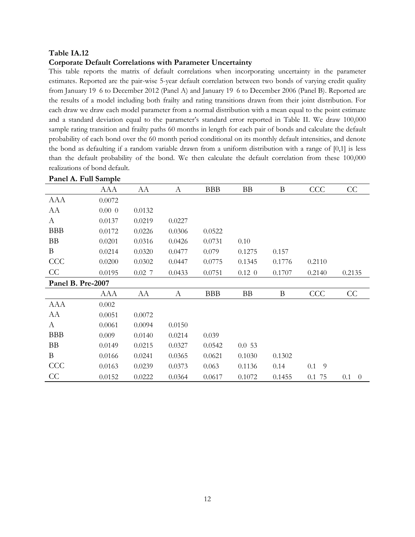#### **Corporate Default Correlations with Parameter Uncertainty**

This table reports the matrix of default correlations when incorporating uncertainty in the parameter estimates. Reported are the pair-wise 5-year default correlation between two bonds of varying credit quality from January 19 6 to December 2012 (Panel A) and January 19 6 to December 2006 (Panel B). Reported are the results of a model including both frailty and rating transitions drawn from their joint distribution. For each draw we draw each model parameter from a normal distribution with a mean equal to the point estimate and a standard deviation equal to the parameter's standard error reported in Table II. We draw 100,000 sample rating transition and frailty paths 60 months in length for each pair of bonds and calculate the default probability of each bond over the 60 month period conditional on its monthly default intensities, and denote the bond as defaulting if a random variable drawn from a uniform distribution with a range of [0,1] is less than the default probability of the bond. We then calculate the default correlation from these 100,000 realizations of bond default.

| ганстл. гип заніріс |           |          |        |            |           |        |           |                       |
|---------------------|-----------|----------|--------|------------|-----------|--------|-----------|-----------------------|
|                     | AAA       | AA       | A      | <b>BBB</b> | <b>BB</b> | B      | CCC       | CC                    |
| AAA                 | 0.0072    |          |        |            |           |        |           |                       |
| AA                  | $0.00\ 0$ | 0.0132   |        |            |           |        |           |                       |
| A                   | 0.0137    | 0.0219   | 0.0227 |            |           |        |           |                       |
| <b>BBB</b>          | 0.0172    | 0.0226   | 0.0306 | 0.0522     |           |        |           |                       |
| <b>BB</b>           | 0.0201    | 0.0316   | 0.0426 | 0.0731     | 0.10      |        |           |                       |
| B                   | 0.0214    | 0.0320   | 0.0477 | 0.079      | 0.1275    | 0.157  |           |                       |
| CCC                 | 0.0200    | 0.0302   | 0.0447 | 0.0775     | 0.1345    | 0.1776 | 0.2110    |                       |
| CC                  | 0.0195    | $0.02$ 7 | 0.0433 | 0.0751     | $0.12\ 0$ | 0.1707 | 0.2140    | 0.2135                |
| Panel B. Pre-2007   |           |          |        |            |           |        |           |                       |
|                     | AAA       | AA       | A      | <b>BBB</b> | <b>BB</b> | B      | CCC       | CC                    |
| AAA                 | 0.002     |          |        |            |           |        |           |                       |
| AA                  | 0.0051    | 0.0072   |        |            |           |        |           |                       |
| A                   | 0.0061    | 0.0094   | 0.0150 |            |           |        |           |                       |
| <b>BBB</b>          | 0.009     | 0.0140   | 0.0214 | 0.039      |           |        |           |                       |
| <b>BB</b>           | 0.0149    | 0.0215   | 0.0327 | 0.0542     | 0.053     |        |           |                       |
| B                   | 0.0166    | 0.0241   | 0.0365 | 0.0621     | 0.1030    | 0.1302 |           |                       |
| CCC                 | 0.0163    | 0.0239   | 0.0373 | 0.063      | 0.1136    | 0.14   | $0.1 - 9$ |                       |
| CC                  | 0.0152    | 0.0222   | 0.0364 | 0.0617     | 0.1072    | 0.1455 | 0.1 75    | 0.1<br>$\overline{0}$ |
|                     |           |          |        |            |           |        |           |                       |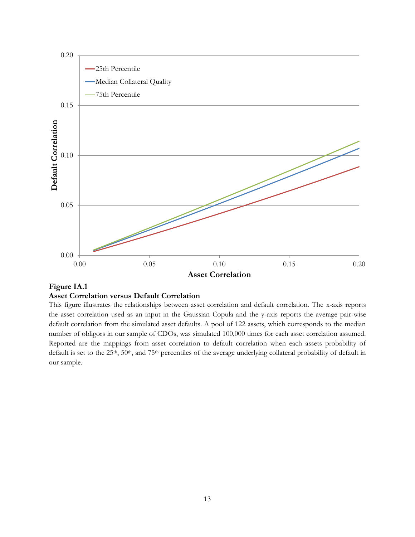

## **Figure IA.1 Asset Correlation versus Default Correlation**

This figure illustrates the relationships between asset correlation and default correlation. The x-axis reports the asset correlation used as an input in the Gaussian Copula and the y-axis reports the average pair-wise default correlation from the simulated asset defaults. A pool of 122 assets, which corresponds to the median number of obligors in our sample of CDOs, was simulated 100,000 times for each asset correlation assumed. Reported are the mappings from asset correlation to default correlation when each assets probability of default is set to the  $25<sup>th</sup>$ ,  $50<sup>th</sup>$ , and  $75<sup>th</sup>$  percentiles of the average underlying collateral probability of default in our sample.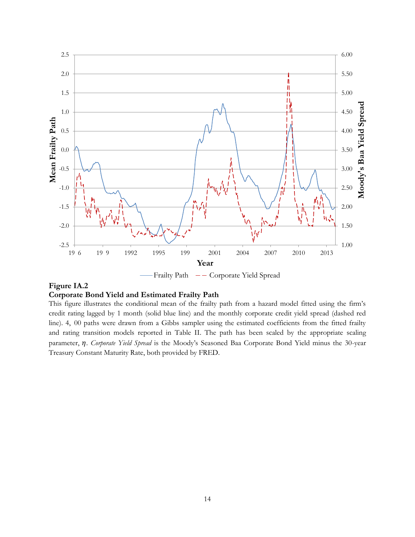

Frailty Path  $-$  Corporate Yield Spread

# **Figure IA.2**

## **Corporate Bond Yield and Estimated Frailty Path**

This figure illustrates the conditional mean of the frailty path from a hazard model fitted using the firm's credit rating lagged by 1 month (solid blue line) and the monthly corporate credit yield spread (dashed red line). 4, 00 paths were drawn from a Gibbs sampler using the estimated coefficients from the fitted frailty and rating transition models reported in Table II. The path has been scaled by the appropriate scaling parameter,  $\eta$ . *Corporate Yield Spread* is the Moody's Seasoned Baa Corporate Bond Yield minus the 30-year Treasury Constant Maturity Rate, both provided by FRED.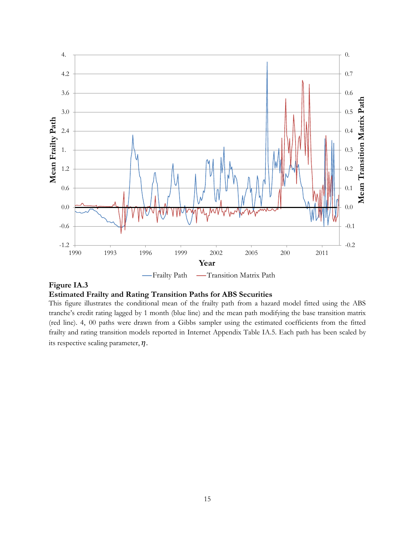

## **Figure IA.3**

### **Estimated Frailty and Rating Transition Paths for ABS Securities**

This figure illustrates the conditional mean of the frailty path from a hazard model fitted using the ABS tranche's credit rating lagged by 1 month (blue line) and the mean path modifying the base transition matrix (red line). 4, 00 paths were drawn from a Gibbs sampler using the estimated coefficients from the fitted frailty and rating transition models reported in Internet Appendix Table IA.5. Each path has been scaled by its respective scaling parameter,  $\eta$ .